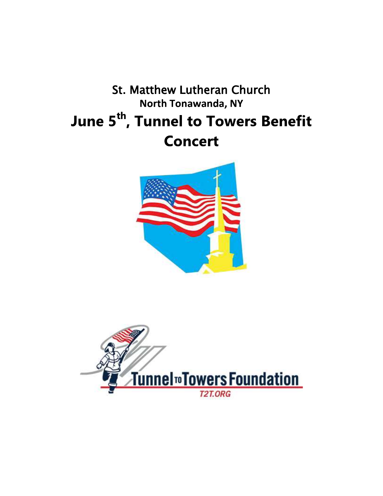# **St. Matthew Lutheran Church North Tonawanda, NY** June 5<sup>th</sup>, Tunnel to Towers Benefit **Concert**



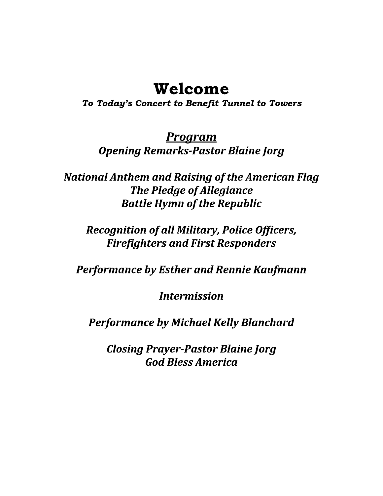## Welcome

To Today's Concert to Benefit Tunnel to Towers

<u>Program</u> **Opening Remarks-Pastor Blaine Jorg** 

**National Anthem and Raising of the American Flag The Pledge of Allegiance Battle Hymn of the Republic** 

**Recognition of all Military, Police Officers, Firefighters and First Responders** 

**Performance by Esther and Rennie Kaufmann** 

**Intermission** 

**Performance by Michael Kelly Blanchard** 

**Closing Prayer-Pastor Blaine Jorg God Bless America**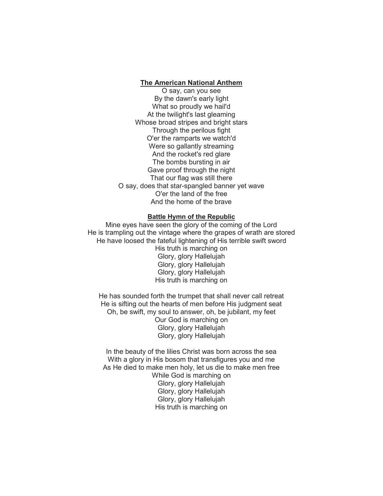#### The American National Anthem

O say, can you see By the dawn's early light What so proudly we hail'd At the twilight's last gleaming Whose broad stripes and bright stars Through the perilous fight O'er the ramparts we watch'd Were so gallantly streaming And the rocket's red glare The bombs bursting in air Gave proof through the night That our flag was still there O say, does that star-spangled banner yet wave O'er the land of the free And the home of the brave

#### Battle Hymn of the Republic

Mine eyes have seen the glory of the coming of the Lord He is trampling out the vintage where the grapes of wrath are stored He have loosed the fateful lightening of His terrible swift sword His truth is marching on Glory, glory Hallelujah Glory, glory Hallelujah Glory, glory Hallelujah His truth is marching on

He has sounded forth the trumpet that shall never call retreat He is sifting out the hearts of men before His judgment seat Oh, be swift, my soul to answer, oh, be jubilant, my feet Our God is marching on Glory, glory Hallelujah Glory, glory Hallelujah

In the beauty of the lilies Christ was born across the sea With a glory in His bosom that transfigures you and me As He died to make men holy, let us die to make men free While God is marching on Glory, glory Hallelujah Glory, glory Hallelujah Glory, glory Hallelujah His truth is marching on